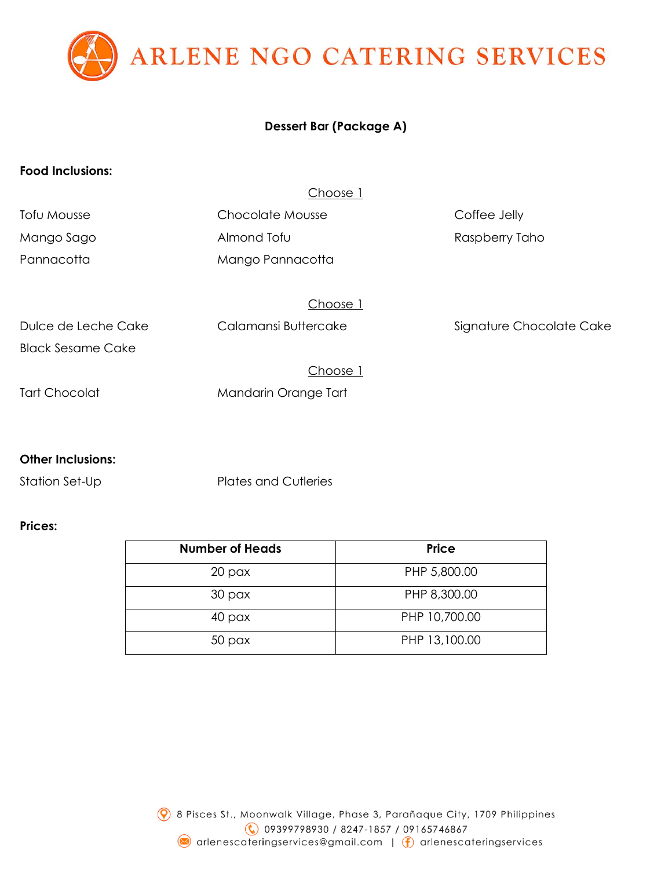ARLENE NGO CATERING SERVICES

## **Dessert Bar (Package A)**

### **Food Inclusions:**

#### Choose 1

| Tofu Mousse              | Chocolate Mousse     | Coffee Jelly             |
|--------------------------|----------------------|--------------------------|
| Mango Sago               | Almond Tofu          | Raspberry Taho           |
| Pannacotta               | Mango Pannacotta     |                          |
|                          |                      |                          |
|                          | Choose 1             |                          |
| Dulce de Leche Cake      | Calamansi Buttercake | Signature Chocolate Cake |
| <b>Black Sesame Cake</b> |                      |                          |

# Choose 1 Tart Chocolat Mandarin Orange Tart

### **Other Inclusions:**

Station Set-Up Plates and Cutleries

### **Prices:**

| <b>Number of Heads</b> | <b>Price</b>  |
|------------------------|---------------|
| 20 <sub>px</sub>       | PHP 5,800.00  |
| 30 <sub>px</sub>       | PHP 8,300.00  |
| 40 pax                 | PHP 10,700.00 |
| 50 <sub>px</sub>       | PHP 13,100.00 |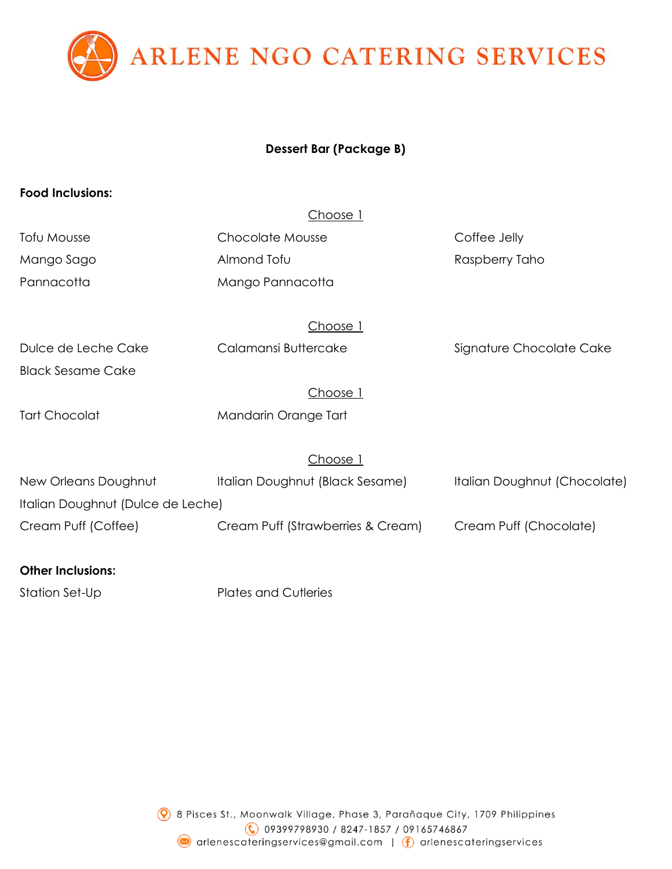

## **Dessert Bar (Package B)**

### **Food Inclusions:**

| C<br>C |  |
|--------|--|
|        |  |

| Tofu Mousse | <b>Chocolate Mousse</b> | Coffee Jelly   |
|-------------|-------------------------|----------------|
| Mango Sago  | Almond Tofu             | Raspberry Taho |
| Pannacotta  | Mango Pannacotta        |                |

Choose 1

Dulce de Leche Cake Calamansi Buttercake Signature Chocolate Cake Black Sesame Cake

Choose 1

Tart Chocolat Mandarin Orange Tart

Choose 1

| New Orleans Doughnut              | Italian Doughnut (Black Sesame)   | Italian Doughnut (Chocolate) |
|-----------------------------------|-----------------------------------|------------------------------|
| Italian Doughnut (Dulce de Leche) |                                   |                              |
| Cream Puff (Coffee)               | Cream Puff (Strawberries & Cream) | Cream Puff (Chocolate)       |

## **Other Inclusions:**

Station Set-Up Plates and Cutleries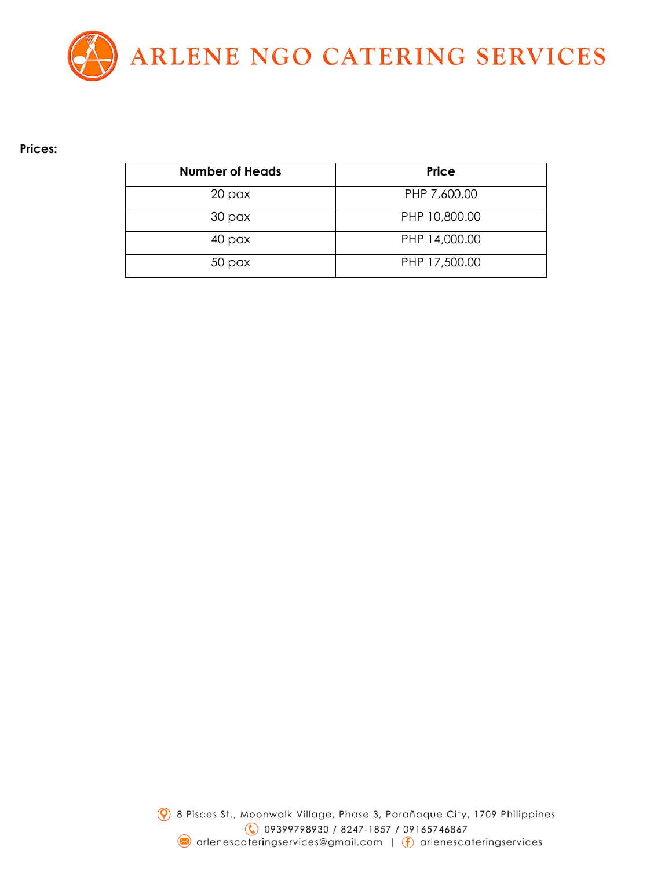

#### **Prices:**

| <b>Number of Heads</b> | <b>Price</b>  |
|------------------------|---------------|
| 20 <sub>px</sub>       | PHP 7,600.00  |
| 30 <sub>px</sub>       | PHP 10,800.00 |
| 40 pax                 | PHP 14,000.00 |
| 50 <sub>px</sub>       | PHP 17,500.00 |

2 8 Pisces St., Moonwalk Village, Phase 3, Parañaque City, 1709 Philippines € 09399798930 / 8247-1857 / 09165746867 arlenescateringservices@gmail.com | (f) arlenescateringservices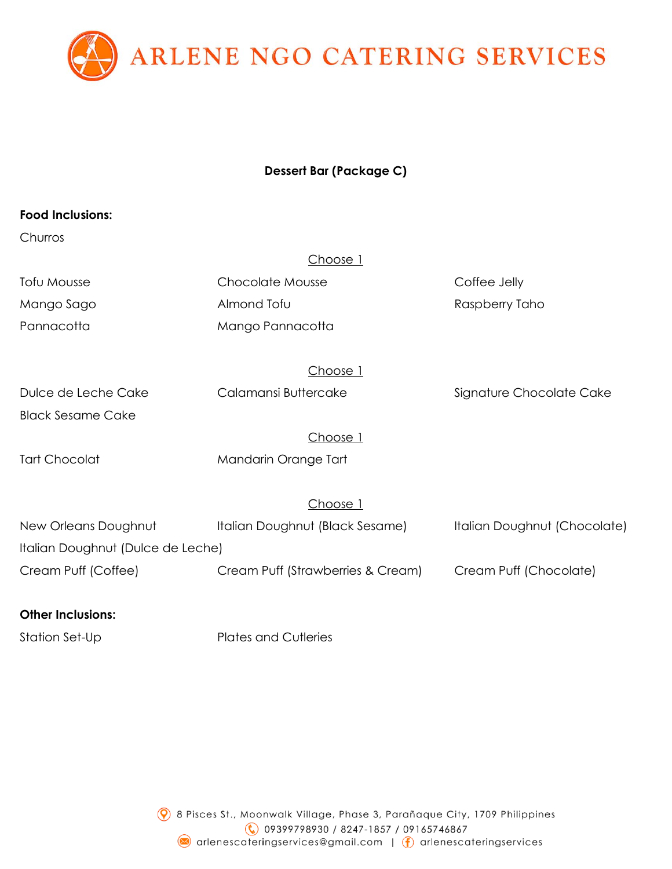

# **Dessert Bar (Package C)**

### **Food Inclusions:**

### **Churros**

|                     | Choose 1             |                          |
|---------------------|----------------------|--------------------------|
| Tofu Mousse         | Chocolate Mousse     | Coffee Jelly             |
| Mango Sago          | Almond Tofu          | Raspberry Taho           |
| Pannacotta          | Mango Pannacotta     |                          |
|                     | Choose 1             |                          |
| Dulce de Leche Cake | Calamansi Buttercake | Signature Chocolate Cake |

Black Sesame Cake

Choose 1

Tart Chocolat Mandarin Orange Tart

Choose 1

| New Orleans Doughnut | Italian Doughnut (Black Sesame) | Italian Doughnut (Chocolate) |
|----------------------|---------------------------------|------------------------------|
|                      |                                 |                              |

Italian Doughnut (Dulce de Leche)

Cream Puff (Coffee) Cream Puff (Strawberries & Cream) Cream Puff (Chocolate)

### **Other Inclusions:**

Station Set-Up Plates and Cutleries